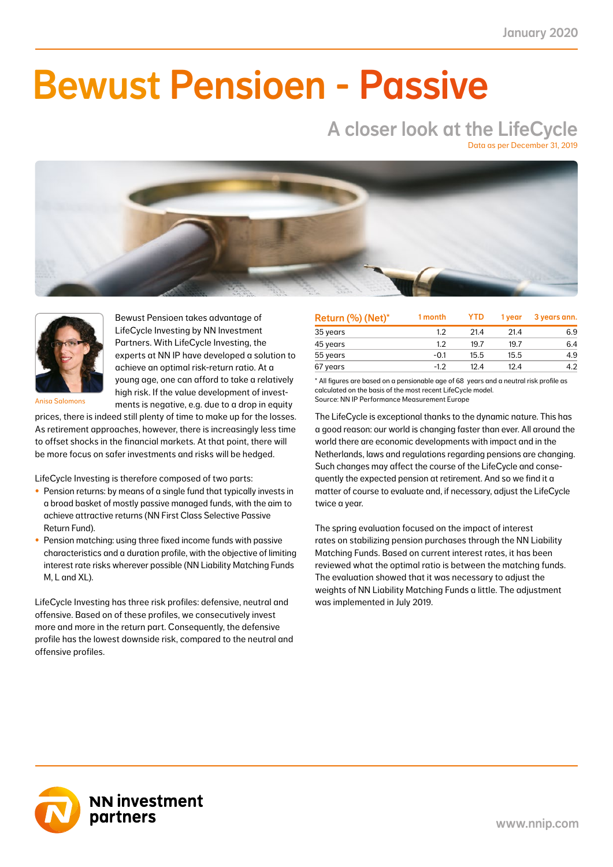NN First Class Selective Passive Return Fund 1.7 0.7 21.7 8.5 21.7 8.5 7.0 2.8 22.6 8.7 41.0

### $N_{\rm H}$  -0.4  $\sim$  0.4  $\sim$  0.4  $\sim$  0.4  $\sim$  0.4  $\sim$  0.4  $\sim$  0.4  $\sim$  0.4  $\sim$  0.4  $\sim$  0.4  $\sim$  0.4  $\sim$  0.4  $\sim$  0.4  $\sim$  0.4  $\sim$  0.4  $\sim$  0.4  $\sim$  0.4  $\sim$  0.4  $\sim$  0.4  $\sim$  0.4  $\sim$  0.4  $\sim$  0.4  $\sim$  0.4  $\sim$  0.4  $\blacksquare$  IIMAAILIA NN Liability Matching Fund XL -5.9 -0.7 38.9 4.0 38.9 4.0 10.1 1.2 33.4 3.8 11.0 Bewust Pensioen - Passive

# A closer look at the LifeCycle

Data as per December 31, 2019





Bewust Pensioen takes advantage of LifeCycle Investing by NN Investment Partners. With LifeCycle Investing, the experts at NN IP have developed a solution to achieve an optimal risk-return ratio. At a young age, one can afford to take a relatively high risk. If the value development of investments is negative, e.g. due to a drop in equity

Anisa Salomons

prices, there is indeed still plenty of time to make up for the losses. As retirement approaches, however, there is increasingly less time to offset shocks in the financial markets. At that point, there will be more focus on safer investments and risks will be hedged.

LifeCycle Investing is therefore composed of two parts:

- Pension returns: by means of a single fund that typically invests in a broad basket of mostly passive managed funds, with the aim to achieve attractive returns (NN First Class Selective Passive Return Fund).
- Pension matching: using three fixed income funds with passive characteristics and a duration profile, with the objective of limiting interest rate risks wherever possible (NN Liability Matching Funds M, L and XL).

LifeCycle Investing has three risk profiles: defensive, neutral and offensive. Based on of these profiles, we consecutively invest more and more in the return part. Consequently, the defensive profile has the lowest downside risk, compared to the neutral and offensive profiles.

| Return (%) (Net)* | 1 month | <b>YTD</b> | 1 vear | 3 years ann. |
|-------------------|---------|------------|--------|--------------|
| 35 years          | 1.2     | 21.4       | 21.4   | 6.9          |
| 45 years          | 1.2     | 19.7       | 19.7   | 6.4          |
| 55 years          | $-0.1$  | 15.5       | 15.5   | 4.9          |
| 67 years          | $-1.2$  | 12.4       | 12.4   | 4.2          |

\* All figures are based on a pensionable age of 68 years and a neutral risk profile as calculated on the basis of the most recent LifeCycle model. Source: NN IP Performance Measurement Europe

The LifeCycle is exceptional thanks to the dynamic nature. This has a good reason: our world is changing faster than ever. All around the world there are economic developments with impact and in the Netherlands, laws and regulations regarding pensions are changing. Such changes may affect the course of the LifeCycle and consequently the expected pension at retirement. And so we find it a matter of course to evaluate and, if necessary, adjust the LifeCycle twice a year.

The spring evaluation focused on the impact of interest rates on stabilizing pension purchases through the NN Liability Matching Funds. Based on current interest rates, it has been reviewed what the optimal ratio is between the matching funds. The evaluation showed that it was necessary to adjust the weights of NN Liability Matching Funds a little. The adjustment was implemented in July 2019.

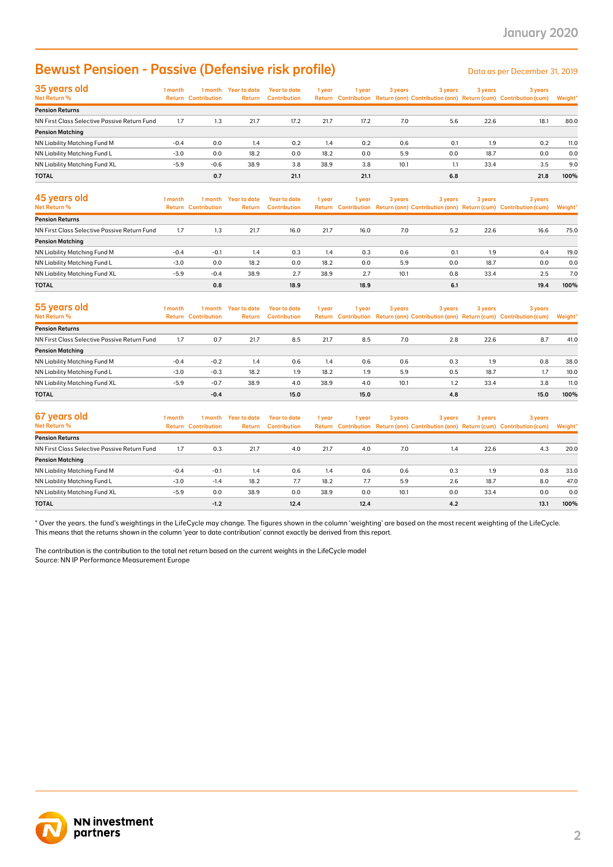## Bewust Pensioen - Passive (Defensive risk profile)

| 35 years old                                 | 1 month | 1 month                    | Year to date  | Year to date        | 1 year | 1 vear | 3 years | 3 years |      | 3 years                                                                             | 3 years |  |
|----------------------------------------------|---------|----------------------------|---------------|---------------------|--------|--------|---------|---------|------|-------------------------------------------------------------------------------------|---------|--|
| Net Return %                                 |         | <b>Return Contribution</b> | <b>Return</b> | <b>Contribution</b> |        |        |         |         |      | Return Contribution Return (ann) Contribution (ann) Return (cum) Contribution (cum) | Weight* |  |
| <b>Pension Returns</b>                       |         |                            |               |                     |        |        |         |         |      |                                                                                     |         |  |
| NN First Class Selective Passive Return Fund | 1.7     | 1.3                        | 21.7          | 17.2                | 21.7   | 17.2   | 7.0     | 5.6     | 22.6 | 18.1                                                                                | 80.0    |  |
| <b>Pension Matching</b>                      |         |                            |               |                     |        |        |         |         |      |                                                                                     |         |  |
| NN Liability Matching Fund M                 | $-0.4$  | 0.0                        | 1.4           | 0.2                 | 1.4    | 0.2    | 0.6     | 0.1     | 1.9  | 0.2                                                                                 | 11.0    |  |
| NN Liability Matching Fund L                 | $-3.0$  | 0.0                        | 18.2          | 0.0                 | 18.2   | 0.0    | 5.9     | 0.0     | 18.7 | 0.0                                                                                 | 0.0     |  |
| NN Liability Matching Fund XL                | $-5.9$  | $-0.6$                     | 38.9          | 3.8                 | 38.9   | 3.8    | 10.1    | 1.1     | 33.4 | 3.5                                                                                 | 9.0     |  |
| <b>TOTAL</b>                                 |         | 0.7                        |               | 21.1                |        | 21.1   |         | 6.8     |      | 21.8                                                                                | 100%    |  |

| <b>Bewust Pensioen - Passive (Defensive risk profile)</b>                                                                                                                                                                                                                                   |         |                                       |                                |                                            |             |             |         |            |         | Data as per December 31, 2019                                                                  |             |
|---------------------------------------------------------------------------------------------------------------------------------------------------------------------------------------------------------------------------------------------------------------------------------------------|---------|---------------------------------------|--------------------------------|--------------------------------------------|-------------|-------------|---------|------------|---------|------------------------------------------------------------------------------------------------|-------------|
| 35 years old<br>Net Return %                                                                                                                                                                                                                                                                | 1 month | <b>Return Contribution</b>            | 1 month Year to date<br>Return | <b>Year to date</b><br><b>Contribution</b> | 1 year      | 1 year      | 3 years | 3 years    | 3 years | 3 years<br>Return Contribution Return (ann) Contribution (ann) Return (cum) Contribution (cum) | Weight'     |
| <b>Pension Returns</b>                                                                                                                                                                                                                                                                      |         |                                       |                                |                                            |             |             |         |            |         |                                                                                                |             |
| NN First Class Selective Passive Return Fund                                                                                                                                                                                                                                                | 1.7     | 1.3                                   | 21.7                           | 17.2                                       | 21.7        | 17.2        | 7.0     | 5.6        | 22.6    | 18.1                                                                                           | 80.0        |
| <b>Pension Matching</b><br>NN Liability Matching Fund M                                                                                                                                                                                                                                     | $-0.4$  | 0.0                                   | 1.4                            | 0.2                                        | 1.4         | 0.2         | 0.6     | 0.1        | 1.9     | 0.2                                                                                            | 11.0        |
| NN Liability Matching Fund L                                                                                                                                                                                                                                                                | $-3.0$  | 0.0                                   | 18.2                           | 0.0                                        | 18.2        | 0.0         | 5.9     | 0.0        | 18.7    | 0.0                                                                                            | 0.0         |
| NN Liability Matching Fund XL                                                                                                                                                                                                                                                               | $-5.9$  | $-0.6$                                | 38.9                           | 3.8                                        | 38.9        | 3.8         | 10.1    | 1.1        | 33.4    | 3.5                                                                                            | 9.0         |
| TOTAL                                                                                                                                                                                                                                                                                       |         | 0.7                                   |                                | 21.1                                       |             | 21.1        |         | 6.8        |         | 21.8                                                                                           | 100%        |
| 45 years old                                                                                                                                                                                                                                                                                | 1 month | 1 month                               | <b>Year to date</b>            | <b>Year to date</b>                        | 1 year      | 1 year      | 3 years | 3 years    | 3 years | 3 years                                                                                        |             |
| Net Return %                                                                                                                                                                                                                                                                                |         | <b>Return Contribution</b>            | Return                         | <b>Contribution</b>                        |             |             |         |            |         | Return Contribution Return (ann) Contribution (ann) Return (cum) Contribution (cum)            | Weight'     |
| <b>Pension Returns</b>                                                                                                                                                                                                                                                                      |         |                                       |                                |                                            |             |             |         |            |         |                                                                                                |             |
| NN First Class Selective Passive Return Fund                                                                                                                                                                                                                                                | 1.7     | 1.3                                   | 21.7                           | 16.0                                       | 21.7        | 16.0        | 7.0     | 5.2        | 22.6    | 16.6                                                                                           | 75.0        |
| <b>Pension Matching</b>                                                                                                                                                                                                                                                                     | $-0.4$  | $-0.1$                                |                                |                                            |             |             | 0.6     | 0.1        | 1.9     | 0.4                                                                                            |             |
| NN Liability Matching Fund M<br>NN Liability Matching Fund L                                                                                                                                                                                                                                | $-3.0$  | 0.0                                   | 1.4<br>18.2                    | 0.3<br>0.0                                 | 1.4<br>18.2 | 0.3<br>0.0  | 5.9     | 0.0        | 18.7    | 0.0                                                                                            | 19.0<br>0.0 |
| NN Liability Matching Fund XL                                                                                                                                                                                                                                                               | $-5.9$  | $-0.4$                                | 38.9                           | 2.7                                        | 38.9        | 2.7         | 10.1    | 0.8        | 33.4    | 2.5                                                                                            | 7.0         |
| TOTAL                                                                                                                                                                                                                                                                                       |         | 0.8                                   |                                | 18.9                                       |             | 18.9        |         | 6.1        |         | 19.4                                                                                           | 100%        |
|                                                                                                                                                                                                                                                                                             |         |                                       |                                |                                            |             |             |         |            |         |                                                                                                |             |
| 55 years old<br>Net Return %                                                                                                                                                                                                                                                                | 1 month | 1 month<br><b>Return Contribution</b> | <b>Year to date</b><br>Return  | <b>Year to date</b><br><b>Contribution</b> | 1 year      | 1 year      | 3 years | 3 years    | 3 years | 3 years<br>Return Contribution Return (ann) Contribution (ann) Return (cum) Contribution (cum) | Weight*     |
| <b>Pension Returns</b>                                                                                                                                                                                                                                                                      |         |                                       |                                |                                            |             |             |         |            |         |                                                                                                |             |
| NN First Class Selective Passive Return Fund                                                                                                                                                                                                                                                | 1.7     | 0.7                                   | 21.7                           | 8.5                                        | 21.7        | 8.5         | 7.0     | 2.8        | 22.6    | 8.7                                                                                            | 41.0        |
| <b>Pension Matching</b>                                                                                                                                                                                                                                                                     |         |                                       |                                |                                            |             |             |         |            |         |                                                                                                |             |
| NN Liability Matching Fund M                                                                                                                                                                                                                                                                | $-0.4$  | $-0.2$                                | 1.4                            | 0.6                                        | 1.4         | 0.6         | 0.6     | 0.3        | 1.9     | 0.8                                                                                            | 38.0        |
| NN Liability Matching Fund L                                                                                                                                                                                                                                                                | $-3.0$  | $-0.3$                                | 18.2                           | 1.9                                        | 18.2        | 1.9         | 5.9     | 0.5        | 18.7    | 1.7                                                                                            | 10.0        |
| NN Liability Matching Fund XL                                                                                                                                                                                                                                                               | $-5.9$  | $-0.7$                                | 38.9                           | 4.0                                        | 38.9        | 4.0         | 10.1    | 1.2        | 33.4    | 3.8                                                                                            | 11.0        |
| TOTAL                                                                                                                                                                                                                                                                                       |         | $-0.4$                                |                                | 15.0                                       |             | 15.0        |         | 4.8        |         | 15.0                                                                                           | 100%        |
|                                                                                                                                                                                                                                                                                             |         |                                       |                                |                                            |             |             |         |            |         |                                                                                                |             |
| 67 years old<br>Net Return %                                                                                                                                                                                                                                                                | 1 month | 1 month<br><b>Return Contribution</b> | <b>Year to date</b><br>Return  | <b>Year to date</b><br><b>Contribution</b> | 1 year      | 1 year      | 3 years | 3 years    | 3 years | 3 years<br>Return Contribution Return (ann) Contribution (ann) Return (cum) Contribution (cum) | Weight'     |
| <b>Pension Returns</b>                                                                                                                                                                                                                                                                      |         |                                       |                                |                                            |             |             |         |            |         |                                                                                                |             |
| NN First Class Selective Passive Return Fund                                                                                                                                                                                                                                                | 1.7     | 0.3                                   | 21.7                           | 4.0                                        | 21.7        | 4.0         | 7.0     | 1.4        | 22.6    | 4.3                                                                                            | 20.0        |
| <b>Pension Matching</b>                                                                                                                                                                                                                                                                     |         |                                       |                                |                                            |             |             |         |            |         |                                                                                                |             |
| NN Liability Matching Fund M                                                                                                                                                                                                                                                                | $-0.4$  | $-0.1$                                | 1.4                            | 0.6                                        | 1.4         | 0.6         | 0.6     | 0.3        | 1.9     | 0.8                                                                                            | 33.0        |
| NN Liability Matching Fund L                                                                                                                                                                                                                                                                | $-3.0$  | $-1.4$                                | 18.2                           | 7.7                                        | 18.2        | 7.7         | 5.9     | 2.6        | 18.7    | 8.0                                                                                            | 47.0        |
| NN Liability Matching Fund XL<br>TOTAL                                                                                                                                                                                                                                                      | $-5.9$  | 0.0<br>$-1.2$                         | 38.9                           | 0.0<br>12.4                                | 38.9        | 0.0<br>12.4 | 10.1    | 0.0<br>4.2 | 33.4    | 0.0<br>13.1                                                                                    | 0.0<br>100% |
| This means that the returns shown in the column 'year to date contribution' cannot exactly be derived from this report.<br>The contribution is the contribution to the total net return based on the current weights in the LifeCycle model<br>Source: NN IP Performance Measurement Europe |         |                                       |                                |                                            |             |             |         |            |         |                                                                                                |             |
| <b>NN investment</b><br>partners                                                                                                                                                                                                                                                            |         |                                       |                                |                                            |             |             |         |            |         |                                                                                                |             |

| 55 years old                                 | 1 month | 1 month                    | Year to date  | Year to date        | 1 year | l year | 3 years | 3 years |      | 3 years                                                                             | 3 years |  |
|----------------------------------------------|---------|----------------------------|---------------|---------------------|--------|--------|---------|---------|------|-------------------------------------------------------------------------------------|---------|--|
| <b>Net Return %</b>                          |         | <b>Return Contribution</b> | <b>Return</b> | <b>Contribution</b> |        |        |         |         |      | Return Contribution Return (ann) Contribution (ann) Return (cum) Contribution (cum) | Weight* |  |
| <b>Pension Returns</b>                       |         |                            |               |                     |        |        |         |         |      |                                                                                     |         |  |
| NN First Class Selective Passive Return Fund | 1.7     | 0.7                        | 21.7          | 8.5                 | 21.7   | 8.5    | 7.0     | 2.8     | 22.6 | 8.7                                                                                 | 41.0    |  |
| <b>Pension Matching</b>                      |         |                            |               |                     |        |        |         |         |      |                                                                                     |         |  |
| NN Liability Matching Fund M                 | $-0.4$  | $-0.2$                     | 1.4           | 0.6                 | 1.4    | 0.6    | 0.6     | 0.3     | 1.9  | 0.8                                                                                 | 38.0    |  |
| NN Liability Matching Fund L                 | $-3.0$  | $-0.3$                     | 18.2          | 1.9                 | 18.2   | 1.9    | 5.9     | 0.5     | 18.7 | 1.7                                                                                 | 10.0    |  |
| NN Liability Matching Fund XL                | $-5.9$  | $-0.7$                     | 38.9          | 4.0                 | 38.9   | 4.0    | 10.1    | 1.2     | 33.4 | 3.8                                                                                 | 11.0    |  |
| <b>TOTAL</b>                                 |         | $-0.4$                     |               | 15.0                |        | 15.0   |         | 4.8     |      | 15.0                                                                                | 100%    |  |

| 67 years old                                 | 1 month | 1 month                    | Year to date | Year to date        | 1 year | 1 year | 3 years | 3 years | 3 years | 3 years                                                                             |         |
|----------------------------------------------|---------|----------------------------|--------------|---------------------|--------|--------|---------|---------|---------|-------------------------------------------------------------------------------------|---------|
| Net Return %                                 |         | <b>Return Contribution</b> | Return       | <b>Contribution</b> |        |        |         |         |         | Return Contribution Return (ann) Contribution (ann) Return (cum) Contribution (cum) | Weight* |
| <b>Pension Returns</b>                       |         |                            |              |                     |        |        |         |         |         |                                                                                     |         |
| NN First Class Selective Passive Return Fund | 1.7     | 0.3                        | 21.7         | 4.0                 | 21.7   | 4.0    | 7.0     | 1.4     | 22.6    | 4.3                                                                                 | 20.0    |
| <b>Pension Matching</b>                      |         |                            |              |                     |        |        |         |         |         |                                                                                     |         |
| NN Liability Matching Fund M                 | $-0.4$  | $-0.1$                     | 1.4          | 0.6                 | 1.4    | 0.6    | 0.6     | 0.3     | 1.9     | 0.8                                                                                 | 33.0    |
| NN Liability Matching Fund L                 | $-3.0$  | $-1.4$                     | 18.2         | 7.7                 | 18.2   | 7.7    | 5.9     | 2.6     | 18.7    | 8.0                                                                                 | 47.0    |
| NN Liability Matching Fund XL                | $-5.9$  | 0.0                        | 38.9         | 0.0                 | 38.9   | 0.0    | 10.1    | 0.0     | 33.4    | 0.0                                                                                 | 0.0     |
| <b>TOTAL</b>                                 |         | $-1.2$                     |              | 12.4                |        | 12.4   |         | 4.2     |         | 13.1                                                                                | 100%    |

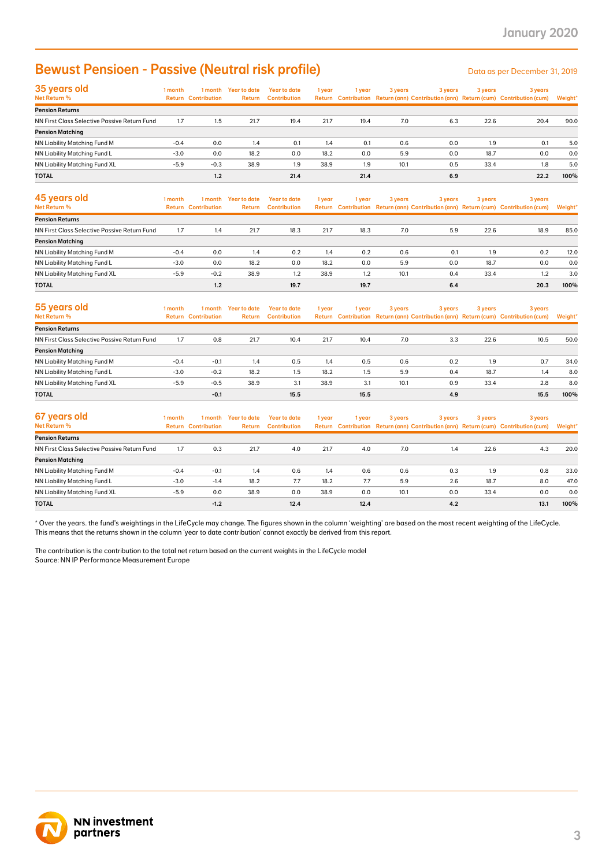## Bewust Pensioen - Passive (Neutral risk profile) Description of the Data as per December 31, 2019

| 35 years old                                 | 1 month | 1 month                    | Year to date | Year to date        | 1 year | 1 year | 3 years | 3 years | 3 years | 3 years                                                                             |         |
|----------------------------------------------|---------|----------------------------|--------------|---------------------|--------|--------|---------|---------|---------|-------------------------------------------------------------------------------------|---------|
| Net Return %                                 |         | <b>Return Contribution</b> | Return       | <b>Contribution</b> |        |        |         |         |         | Return Contribution Return (ann) Contribution (ann) Return (cum) Contribution (cum) | Weight* |
| <b>Pension Returns</b>                       |         |                            |              |                     |        |        |         |         |         |                                                                                     |         |
| NN First Class Selective Passive Return Fund | 1.7     | 1.5                        | 21.7         | 19.4                | 21.7   | 19.4   | 7.0     | 6.3     | 22.6    | 20.4                                                                                | 90.0    |
| <b>Pension Matching</b>                      |         |                            |              |                     |        |        |         |         |         |                                                                                     |         |
| NN Liability Matching Fund M                 | $-0.4$  | 0.0                        | 1.4          | 0.1                 | 1.4    | 0.1    | 0.6     | 0.0     | 1.9     | 0.1                                                                                 | 5.0     |
| NN Liability Matching Fund L                 | $-3.0$  | 0.0                        | 18.2         | 0.0                 | 18.2   | 0.0    | 5.9     | 0.0     | 18.7    | 0.0                                                                                 | 0.0     |
| <b>NN Liability Matching Fund XL</b>         | $-5.9$  | $-0.3$                     | 38.9         | 1.9                 | 38.9   | 1.9    | 10.1    | 0.5     | 33.4    | 1.8                                                                                 | 5.0     |
| <b>TOTAL</b>                                 |         | 1.2                        |              | 21.4                |        | 21.4   |         | 6.9     |         | 22.2                                                                                | 100%    |

| <b>Bewust Pensioen - Passive (Neutral risk profile)</b>                                                                                                                                                                                                                                     |                  |                                       |                                      |                                            |             |            |            |            |             | Data as per December 31, 2019                                                                  |                |
|---------------------------------------------------------------------------------------------------------------------------------------------------------------------------------------------------------------------------------------------------------------------------------------------|------------------|---------------------------------------|--------------------------------------|--------------------------------------------|-------------|------------|------------|------------|-------------|------------------------------------------------------------------------------------------------|----------------|
| 35 years old<br>Net Return %                                                                                                                                                                                                                                                                | 1 month          | <b>Return Contribution</b>            | 1 month Year to date<br>Return       | <b>Year to date</b><br><b>Contribution</b> | 1 year      | 1 year     | 3 years    | 3 years    | 3 years     | 3 years<br>Return Contribution Return (ann) Contribution (ann) Return (cum) Contribution (cum) | Weight'        |
| <b>Pension Returns</b>                                                                                                                                                                                                                                                                      |                  |                                       |                                      |                                            |             |            |            |            |             |                                                                                                |                |
| NN First Class Selective Passive Return Fund                                                                                                                                                                                                                                                | 1.7              | 1.5                                   | 21.7                                 | 19.4                                       | 21.7        | 19.4       | 7.0        | 6.3        | 22.6        | 20.4                                                                                           | 90.0           |
| <b>Pension Matching</b>                                                                                                                                                                                                                                                                     |                  |                                       |                                      |                                            |             |            |            |            |             |                                                                                                |                |
| NN Liability Matching Fund M<br>NN Liability Matching Fund L                                                                                                                                                                                                                                | $-0.4$<br>$-3.0$ | 0.0<br>0.0                            | 1.4<br>18.2                          | 0.1<br>0.0                                 | 1.4<br>18.2 | 0.1<br>0.0 | 0.6<br>5.9 | 0.0<br>0.0 | 1.9<br>18.7 | 0.1<br>0.0                                                                                     | 5.0<br>0.0     |
| NN Liability Matching Fund XL                                                                                                                                                                                                                                                               | $-5.9$           | $-0.3$                                | 38.9                                 | 1.9                                        | 38.9        | 1.9        | 10.1       | 0.5        | 33.4        | 1.8                                                                                            | 5.0            |
| TOTAL                                                                                                                                                                                                                                                                                       |                  | 1.2                                   |                                      | 21.4                                       |             | 21.4       |            | 6.9        |             | 22.2                                                                                           | 100%           |
| 45 years old<br>Net Return %                                                                                                                                                                                                                                                                | 1 month          | 1 month<br><b>Return Contribution</b> | <b>Year to date</b><br><b>Return</b> | <b>Year to date</b><br><b>Contribution</b> | 1 year      | 1 year     | 3 years    | 3 years    | 3 years     | 3 years<br>Return Contribution Return (ann) Contribution (ann) Return (cum) Contribution (cum) | <b>Weight'</b> |
| <b>Pension Returns</b>                                                                                                                                                                                                                                                                      |                  |                                       |                                      |                                            |             |            |            |            |             |                                                                                                |                |
| NN First Class Selective Passive Return Fund                                                                                                                                                                                                                                                | 1.7              | 1.4                                   | 21.7                                 | 18.3                                       | 21.7        | 18.3       | 7.0        | 5.9        | 22.6        | 18.9                                                                                           | 85.0           |
| <b>Pension Matching</b>                                                                                                                                                                                                                                                                     |                  |                                       |                                      |                                            |             |            |            |            |             |                                                                                                |                |
| NN Liability Matching Fund M                                                                                                                                                                                                                                                                | $-0.4$           | 0.0                                   | 1.4                                  | 0.2                                        | 1.4         | 0.2        | 0.6        | 0.1        | 1.9         | 0.2                                                                                            | 12.0           |
| NN Liability Matching Fund L                                                                                                                                                                                                                                                                | $-3.0$           | 0.0                                   | 18.2                                 | 0.0                                        | 18.2        | 0.0        | 5.9        | 0.0        | 18.7        | 0.0                                                                                            | 0.0            |
| NN Liability Matching Fund XL                                                                                                                                                                                                                                                               | $-5.9$           | $-0.2$                                | 38.9                                 | 1.2                                        | 38.9        | 1.2        | 10.1       | 0.4        | 33.4        | 1.2                                                                                            | 3.0            |
| TOTAL                                                                                                                                                                                                                                                                                       |                  | 1.2                                   |                                      | 19.7                                       |             | 19.7       |            | 6.4        |             | 20.3                                                                                           | 100%           |
| 55 years old<br><b>Net Return %</b>                                                                                                                                                                                                                                                         | 1 month          | 1 month<br><b>Return Contribution</b> | <b>Year to date</b><br>Return        | <b>Year to date</b><br><b>Contribution</b> | 1 year      | 1 year     | 3 years    | 3 years    | 3 years     | 3 years<br>Return Contribution Return (ann) Contribution (ann) Return (cum) Contribution (cum) | Weight'        |
| <b>Pension Returns</b>                                                                                                                                                                                                                                                                      |                  |                                       |                                      |                                            |             |            |            |            |             |                                                                                                |                |
| NN First Class Selective Passive Return Fund                                                                                                                                                                                                                                                | 1.7              | 0.8                                   | 21.7                                 | 10.4                                       | 21.7        | 10.4       | 7.0        | 3.3        | 22.6        | 10.5                                                                                           | 50.0           |
| <b>Pension Matching</b>                                                                                                                                                                                                                                                                     |                  |                                       |                                      |                                            |             |            |            |            |             |                                                                                                |                |
| NN Liability Matching Fund M                                                                                                                                                                                                                                                                | $-0.4$           | $-0.1$                                | 1.4                                  | 0.5                                        | 1.4         | 0.5        | 0.6        | 0.2        | 1.9         | 0.7                                                                                            | 34.0           |
| NN Liability Matching Fund L                                                                                                                                                                                                                                                                | $-3.0$           | $-0.2$                                | 18.2                                 | 1.5                                        | 18.2        | 1.5        | 5.9        | 0.4        | 18.7        | 1.4                                                                                            | 8.0            |
| NN Liability Matching Fund XL                                                                                                                                                                                                                                                               | $-5.9$           | $-0.5$                                | 38.9                                 | 3.1                                        | 38.9        | 3.1        | 10.1       | 0.9        | 33.4        | 2.8                                                                                            | 8.0            |
| <b>TOTAL</b>                                                                                                                                                                                                                                                                                |                  | $-0.1$                                |                                      | 15.5                                       |             | 15.5       |            | 4.9        |             | 15.5                                                                                           | 100%           |
| 67 years old<br>Net Return %                                                                                                                                                                                                                                                                | 1 month          | 1 month<br><b>Return Contribution</b> | <b>Year to date</b><br>Return        | <b>Year to date</b><br><b>Contribution</b> | 1 year      | 1 year     | 3 years    | 3 years    | 3 years     | 3 years<br>Return Contribution Return (ann) Contribution (ann) Return (cum) Contribution (cum) | <b>Weight'</b> |
| <b>Pension Returns</b>                                                                                                                                                                                                                                                                      |                  |                                       |                                      |                                            |             |            |            |            |             |                                                                                                |                |
| NN First Class Selective Passive Return Fund                                                                                                                                                                                                                                                | 1.7              | 0.3                                   | 21.7                                 | 4.0                                        | 21.7        | 4.0        | 7.0        | 1.4        | 22.6        | 4.3                                                                                            | 20.0           |
| <b>Pension Matching</b>                                                                                                                                                                                                                                                                     |                  |                                       |                                      |                                            |             |            |            |            |             |                                                                                                |                |
| NN Liability Matching Fund M                                                                                                                                                                                                                                                                | $-0.4$           | $-0.1$                                | 1.4                                  | 0.6                                        | 1.4         | 0.6        | 0.6        | 0.3        | 1.9         | 0.8                                                                                            | 33.0           |
| NN Liability Matching Fund L                                                                                                                                                                                                                                                                | $-3.0$           | $-1.4$                                | 18.2                                 | 7.7                                        | 18.2        | 7.7        | 5.9        | 2.6        | 18.7        | 8.0                                                                                            | 47.0           |
| NN Liability Matching Fund XL                                                                                                                                                                                                                                                               | $-5.9$           | 0.0                                   | 38.9                                 | 0.0                                        | 38.9        | 0.0        | 10.1       | 0.0        | 33.4        | 0.0                                                                                            | 0.0            |
| TOTAL                                                                                                                                                                                                                                                                                       |                  | $-1.2$                                |                                      | 12.4                                       |             | 12.4       |            | 4.2        |             | 13.1                                                                                           | 100%           |
| This means that the returns shown in the column 'year to date contribution' cannot exactly be derived from this report.<br>The contribution is the contribution to the total net return based on the current weights in the LifeCycle model<br>Source: NN IP Performance Measurement Europe |                  |                                       |                                      |                                            |             |            |            |            |             |                                                                                                |                |
| <b>NN investment</b>                                                                                                                                                                                                                                                                        |                  |                                       |                                      |                                            |             |            |            |            |             |                                                                                                |                |

| 55 years old                                 | 1 month | 1 month                    | Year to date | <b>Year to date</b> | 1 year | 1 year | 3 years | 3 years | 3 years | 3 years                                                                             |         |
|----------------------------------------------|---------|----------------------------|--------------|---------------------|--------|--------|---------|---------|---------|-------------------------------------------------------------------------------------|---------|
| <b>Net Return %</b>                          |         | <b>Return Contribution</b> | Return       | <b>Contribution</b> |        |        |         |         |         | Return Contribution Return (ann) Contribution (ann) Return (cum) Contribution (cum) | Weight* |
| <b>Pension Returns</b>                       |         |                            |              |                     |        |        |         |         |         |                                                                                     |         |
| NN First Class Selective Passive Return Fund | 1.7     | 0.8                        | 21.7         | 10.4                | 21.7   | 10.4   | 7.0     | 3.3     | 22.6    | 10.5                                                                                | 50.0    |
| <b>Pension Matching</b>                      |         |                            |              |                     |        |        |         |         |         |                                                                                     |         |
| NN Liability Matching Fund M                 | $-0.4$  | $-0.1$                     | 1.4          | 0.5                 | 1.4    | 0.5    | 0.6     | 0.2     | 1.9     | 0.7                                                                                 | 34.0    |
| NN Liability Matching Fund L                 | $-3.0$  | $-0.2$                     | 18.2         | $1.5\,$             | 18.2   | 1.5    | 5.9     | 0.4     | 18.7    | 1.4                                                                                 | 8.0     |
| NN Liability Matching Fund XL                | $-5.9$  | $-0.5$                     | 38.9         | 3.1                 | 38.9   | 3.1    | 10.1    | 0.9     | 33.4    | 2.8                                                                                 | 8.0     |
| <b>TOTAL</b>                                 |         | $-0.1$                     |              | 15.5                |        | 15.5   |         | 4.9     |         | 15.5                                                                                | 100%    |

| 67 years old                                 | 1 month | 1 month                    | Year to date | Year to date        | 1 year | l year | 3 years | 3 years | 3 years | 3 years                                                                             |         |
|----------------------------------------------|---------|----------------------------|--------------|---------------------|--------|--------|---------|---------|---------|-------------------------------------------------------------------------------------|---------|
| Net Return %                                 |         | <b>Return Contribution</b> | Return       | <b>Contribution</b> |        |        |         |         |         | Return Contribution Return (ann) Contribution (ann) Return (cum) Contribution (cum) | Weight* |
| <b>Pension Returns</b>                       |         |                            |              |                     |        |        |         |         |         |                                                                                     |         |
| NN First Class Selective Passive Return Fund | 1.7     | 0.3                        | 21.7         | 4.0                 | 21.7   | 4.0    | 7.0     | 1.4     | 22.6    | 4.3                                                                                 | 20.0    |
| <b>Pension Matching</b>                      |         |                            |              |                     |        |        |         |         |         |                                                                                     |         |
| NN Liability Matching Fund M                 | $-0.4$  | $-0.1$                     | 1.4          | 0.6                 | 1.4    | 0.6    | 0.6     | 0.3     | 1.9     | 0.8                                                                                 | 33.0    |
| NN Liability Matching Fund L                 | $-3.0$  | $-1.4$                     | 18.2         | 7.7                 | 18.2   | 7.7    | 5.9     | 2.6     | 18.7    | 8.0                                                                                 | 47.0    |
| NN Liability Matching Fund XL                | $-5.9$  | 0.0                        | 38.9         | 0.0                 | 38.9   | 0.0    | 10.1    | 0.0     | 33.4    | 0.0                                                                                 | 0.0     |
| <b>TOTAL</b>                                 |         | $-1.2$                     |              | 12.4                |        | 12.4   |         | 4.2     |         | 13.1                                                                                | 100%    |